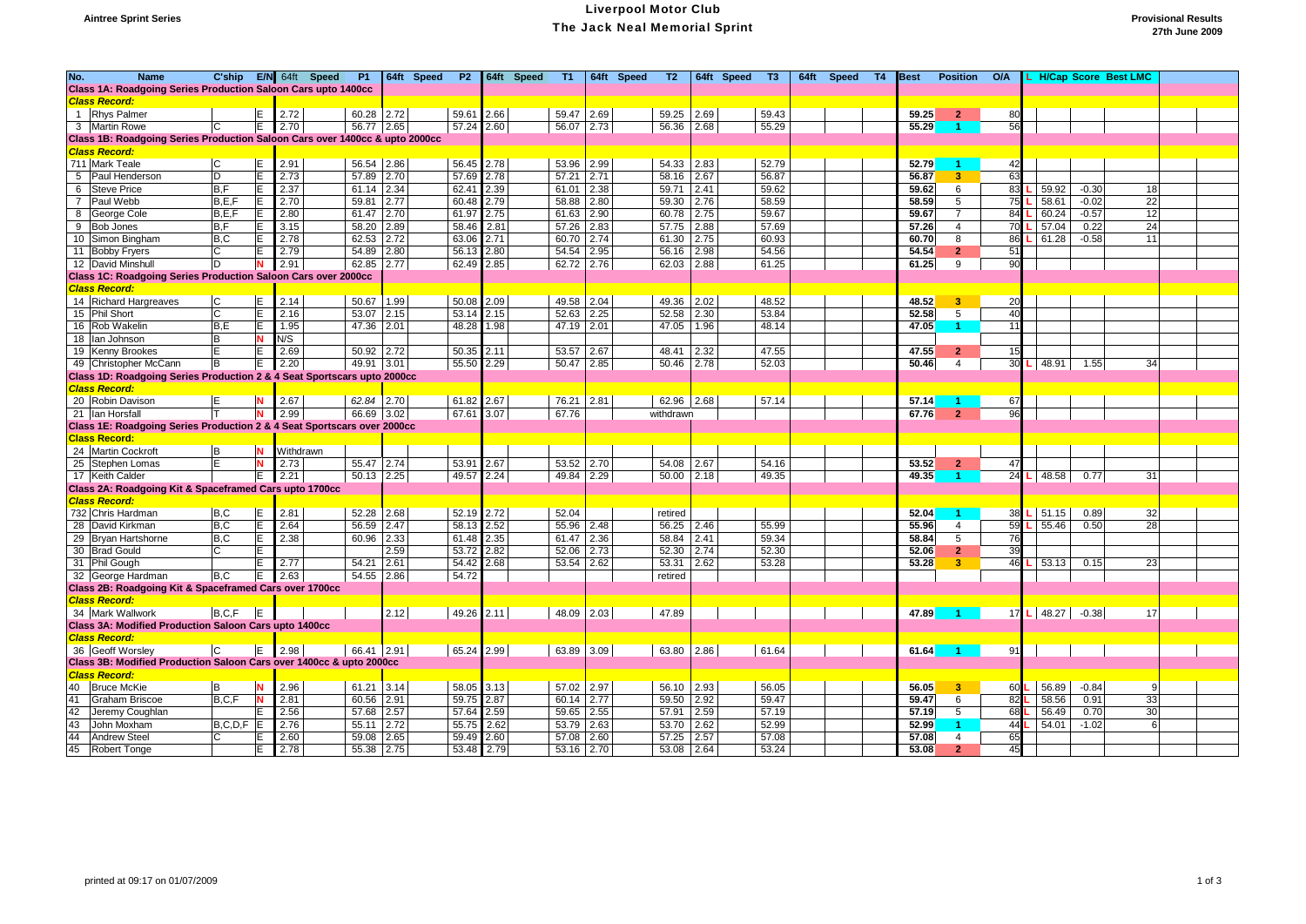## **Aintree Sprint Series** Liverpool Motor Club The Jack Neal Memorial Sprint **Provisional Results 27th June 2009**

| No.                  | <b>Name</b>                                                                 | C'ship E/N 64ft Speed |      |           | <b>P1</b>          |      | 64ft Speed | <b>P2</b>  |      | 64ft Speed | T1    |      | 64ft Speed | T2         |      | 64ft Speed<br>T3 | 64ft Speed | <b>T4</b> | <b>Best</b> | <b>Position</b>         | <b>O/A</b>      |                    |         | <b>H/Cap Score Best LMC</b> |  |
|----------------------|-----------------------------------------------------------------------------|-----------------------|------|-----------|--------------------|------|------------|------------|------|------------|-------|------|------------|------------|------|------------------|------------|-----------|-------------|-------------------------|-----------------|--------------------|---------|-----------------------------|--|
|                      | Class 1A: Roadgoing Series Production Saloon Cars upto 1400cc               |                       |      |           |                    |      |            |            |      |            |       |      |            |            |      |                  |            |           |             |                         |                 |                    |         |                             |  |
| <b>Class Record:</b> |                                                                             |                       |      |           |                    |      |            |            |      |            |       |      |            |            |      |                  |            |           |             |                         |                 |                    |         |                             |  |
|                      | 1 Rhys Palmer                                                               | E                     |      | 2.72      | 60.28              | 2.72 |            | 59.61      | 2.66 |            | 59.47 | 2.69 |            | 59.25      | 2.69 | 59.43            |            |           | 59.25       | $\overline{\mathbf{z}}$ | 80              |                    |         |                             |  |
|                      | 3 Martin Rowe                                                               | E                     |      | 2.70      | 56.77              | 2.65 |            | 57.24      | 2.60 |            | 56.07 | 2.73 |            | 56.36      | 2.68 | 55.29            |            |           | 55.29       |                         | 56              |                    |         |                             |  |
|                      | Class 1B: Roadgoing Series Production Saloon Cars over 1400cc & upto 2000cc |                       |      |           |                    |      |            |            |      |            |       |      |            |            |      |                  |            |           |             |                         |                 |                    |         |                             |  |
|                      | <b>Class Record:</b>                                                        |                       |      |           |                    |      |            |            |      |            |       |      |            |            |      |                  |            |           |             |                         |                 |                    |         |                             |  |
|                      | 711 Mark Teale                                                              | E                     |      | 2.91      | 56.54 2.86         |      |            | 56.45 2.78 |      |            | 53.96 | 2.99 |            | 54.33 2.83 |      | 52.79            |            |           | 52.79       |                         | 42              |                    |         |                             |  |
|                      | 5 Paul Henderson                                                            | E<br>חו               |      | 2.73      | 57.89 2.70         |      |            | 57.69      | 2.78 |            | 57.21 | 2.71 |            | 58.16 2.67 |      | 56.87            |            |           | 56.87       | 3                       | 63              |                    |         |                             |  |
|                      | 6 Steve Price                                                               | E<br>B.F              |      | 2.37      | 61.14              | 2.34 |            | 62.41      | 2.39 |            | 61.01 | 2.38 |            | 59.71      | 2.41 | 59.62            |            |           | 59.62       | 6                       | 83              | 59.92              | $-0.30$ | 18                          |  |
|                      | 7 Paul Webb                                                                 | B, E, F<br>E          |      | 2.70      | 59.81              | 2.77 |            | 60.48      | 2.79 |            | 58.88 | 2.80 |            | 59.30 2.76 |      | 58.59            |            |           | 58.59       | 5                       | 75              | 58.61              | $-0.02$ | 22                          |  |
|                      | 8 George Cole                                                               | B.E.F<br>E            |      | 2.80      | 61.47              | 2.70 |            | 61.97      | 2.75 |            | 61.63 | 2.90 |            | 60.78      | 2.75 | 59.67            |            |           | 59.67       | $\overline{7}$          | 84              | 60.24              | $-0.57$ | 12                          |  |
|                      | 9 Bob Jones                                                                 | E<br>B,F              |      | 3.15      | 58.20 2.89         |      |            | 58.46      | 2.81 |            | 57.26 | 2.83 |            | 57.75 2.88 |      | 57.69            |            |           | 57.26       | $\overline{4}$          | 70              | 57.04              | 0.22    | 24                          |  |
|                      | 10 Simon Bingham                                                            | B,C<br>E              |      | 2.78      | 62.53              | 2.72 |            | 63.06      | 2.71 |            | 60.70 | 2.74 |            | 61.30      | 2.75 | 60.93            |            |           | 60.70       | 8                       | 86              | 61.28              | $-0.58$ | 11                          |  |
|                      | 11 Bobby Fryers                                                             | lс<br>E               |      | 2.79      | 54.89              | 2.80 |            | 56.13      | 2.80 |            | 54.54 | 2.95 |            | 56.16      | 2.98 | 54.56            |            |           | 54.54       | $\overline{2}$          | 51              |                    |         |                             |  |
|                      | 12 David Minshull                                                           | ID<br>N               |      | 2.91      | 62.85              | 2.77 |            | 62.49      | 2.85 |            | 62.72 | 2.76 |            | 62.03      | 2.88 | 61.25            |            |           | 61.25       | 9                       | 90              |                    |         |                             |  |
|                      | Class 1C: Roadgoing Series Production Saloon Cars over 2000cc               |                       |      |           |                    |      |            |            |      |            |       |      |            |            |      |                  |            |           |             |                         |                 |                    |         |                             |  |
|                      | Class Record:                                                               |                       |      |           |                    |      |            |            |      |            |       |      |            |            |      |                  |            |           |             |                         |                 |                    |         |                             |  |
|                      | 14 Richard Hargreaves                                                       | IC<br>E               |      | 2.14      | 50.67              | 1.99 |            | 50.08      | 2.09 |            | 49.58 | 2.04 |            | 49.36 2.02 |      | 48.52            |            |           | 48.52       | 3                       | 20              |                    |         |                             |  |
|                      | 15 Phil Short                                                               | lC.<br>E              |      | 2.16      | 53.07              | 2.15 |            | 53.14      | 2.15 |            | 52.63 | 2.25 |            | 52.58 2.30 |      | 53.84            |            |           | 52.58       | 5                       | 40              |                    |         |                             |  |
|                      | 16 Rob Wakelin                                                              | E<br>B,E              |      | 1.95      | 47.36              | 2.01 |            | 48.28      | 1.98 |            | 47.19 | 2.01 |            | 47.05 1.96 |      | 48.14            |            |           | 47.05       |                         | 11              |                    |         |                             |  |
|                      | 18 Ian Johnson                                                              | B<br>N                | N/S  |           |                    |      |            |            |      |            |       |      |            |            |      |                  |            |           |             |                         |                 |                    |         |                             |  |
|                      | 19 Kenny Brookes                                                            | lE<br>E               |      | 2.69      | 50.92 2.72         |      |            | 50.35      | 2.11 |            | 53.57 | 2.67 |            | 48.41      | 2.32 | 47.55            |            |           | 47.55       | $\overline{2}$          | 15              |                    |         |                             |  |
|                      | 49 Christopher McCann                                                       | B<br>E                |      | 2.20      | 49.91              | 3.01 |            | 55.50      | 2.29 |            | 50.47 | 2.85 |            | 50.46      | 2.78 | 52.03            |            |           | 50.46       | $\overline{4}$          | 30              | 48.91              | 1.55    | 34                          |  |
|                      | Class 1D: Roadgoing Series Production 2 & 4 Seat Sportscars upto 2000cc     |                       |      |           |                    |      |            |            |      |            |       |      |            |            |      |                  |            |           |             |                         |                 |                    |         |                             |  |
|                      | <b>Class Record:</b>                                                        |                       |      |           |                    |      |            |            |      |            |       |      |            |            |      |                  |            |           |             |                         |                 |                    |         |                             |  |
|                      | 20 Robin Davison                                                            | N                     |      | 2.67      | 62.84 2.70         |      |            | 61.82      | 2.67 |            | 76.21 | 2.81 |            | 62.96 2.68 |      | 57.14            |            |           | 57.14       |                         | 67              |                    |         |                             |  |
|                      | 21 Ian Horsfall                                                             | N                     |      | 2.99      | 66.69              | 3.02 |            | 67.61      | 3.07 |            | 67.76 |      |            | withdrawn  |      |                  |            |           | 67.76       | $\overline{2}$          |                 |                    |         |                             |  |
|                      | Class 1E: Roadgoing Series Production 2 & 4 Seat Sportscars over 2000cc     |                       |      |           |                    |      |            |            |      |            |       |      |            |            |      |                  |            |           |             |                         |                 |                    |         |                             |  |
|                      | <b>Class Record:</b>                                                        |                       |      |           |                    |      |            |            |      |            |       |      |            |            |      |                  |            |           |             |                         |                 |                    |         |                             |  |
|                      | 24 Martin Cockroft                                                          | <b>B</b><br>N         |      | Withdrawn |                    |      |            |            |      |            |       |      |            |            |      |                  |            |           |             |                         |                 |                    |         |                             |  |
|                      | 25 Stephen Lomas                                                            | E<br>N                |      | 2.73      | 55.47              | 2.74 |            | 53.91      | 2.67 |            | 53.52 | 2.70 |            | 54.08      | 2.67 | 54.16            |            |           | 53.52       | $\overline{2}$          | 47              |                    |         |                             |  |
|                      | 17 Keith Calder                                                             | E                     |      | 2.21      | $\overline{50.13}$ | 2.25 |            | 49.57      | 2.24 |            | 49.84 | 2.29 |            | 50.00      | 2.18 | 49.35            |            |           | 49.35       | $\blacktriangleleft$    | 24              | 48.58              | 0.77    | 31                          |  |
|                      | Class 2A: Roadgoing Kit & Spaceframed Cars upto 1700cc                      |                       |      |           |                    |      |            |            |      |            |       |      |            |            |      |                  |            |           |             |                         |                 |                    |         |                             |  |
|                      | <b>Class Record:</b>                                                        |                       |      |           |                    |      |            |            |      |            |       |      |            |            |      |                  |            |           |             |                         |                 |                    |         |                             |  |
|                      | 732 Chris Hardman                                                           | B,C<br>E              |      | 2.81      | 52.28              | 2.68 |            | 52.19 2.72 |      |            | 52.04 |      |            | retired    |      |                  |            |           | 52.04       |                         | 38              | 51.15              | 0.89    | 32                          |  |
|                      | 28 David Kirkman                                                            | B,C<br>$rac{E}{E}$    |      | 2.64      | 56.59              | 2.47 |            | 58.13      | 2.52 |            | 55.96 | 2.48 |            | 56.25 2.46 |      | 55.99            |            |           | 55.96       | $\overline{4}$          | 59              | 55.46              | 0.50    | 28                          |  |
|                      | 29 Bryan Hartshorne                                                         | B,C                   |      | 2.38      | 60.96 2.33         |      |            | 61.48      | 2.35 |            | 61.47 | 2.36 |            | 58.84 2.41 |      | 59.34            |            |           | 58.84       | 5                       | 76              |                    |         |                             |  |
|                      | 30 Brad Gould                                                               | lΕ                    |      |           |                    | 2.59 |            | 53.72      | 2.82 |            | 52.06 | 2.73 |            | 52.30      | 2.74 | 52.30            |            |           | 52.06       | $\mathbf{2}$            | 39              |                    |         |                             |  |
|                      | 31 Phil Gough                                                               | E                     |      | 2.77      | 54.21              | 2.61 |            | 54.42      | 2.68 |            | 53.54 | 2.62 |            | 53.31      | 2.62 | 53.28            |            |           | 53.28       | 3                       | 46              | 53.13              | 0.15    | 23                          |  |
|                      | 32 George Hardman                                                           | B,C<br>E              |      | 2.63      | 54.55              | 2.86 |            | 54.72      |      |            |       |      |            | retired    |      |                  |            |           |             |                         |                 |                    |         |                             |  |
|                      | Class 2B: Roadgoing Kit & Spaceframed Cars over 1700cc                      |                       |      |           |                    |      |            |            |      |            |       |      |            |            |      |                  |            |           |             |                         |                 |                    |         |                             |  |
|                      | <b>Class Record:</b>                                                        |                       |      |           |                    |      |            |            |      |            |       |      |            |            |      |                  |            |           |             |                         |                 |                    |         |                             |  |
|                      | 34 Mark Wallwork                                                            | B.C.F<br>IE.          |      |           |                    | 2.12 |            | 49.26 2.11 |      |            | 48.09 | 2.03 |            | 47.89      |      |                  |            |           | 47.89       |                         | 17              | $\mathsf{L}$ 48.27 | $-0.38$ | 17                          |  |
|                      | Class 3A: Modified Production Saloon Cars upto 1400cc                       |                       |      |           |                    |      |            |            |      |            |       |      |            |            |      |                  |            |           |             |                         |                 |                    |         |                             |  |
|                      | <b>Class Record:</b>                                                        |                       |      |           |                    |      |            |            |      |            |       |      |            |            |      |                  |            |           |             |                         |                 |                    |         |                             |  |
|                      | 36 Geoff Worsley                                                            | Iс<br>E               | 2.98 |           | 66.41 2.91         |      |            | 65.24 2.99 |      |            | 63.89 | 3.09 |            | 63.80      | 2.86 | 61.64            |            |           | 61.64       | - 1                     | 91              |                    |         |                             |  |
|                      | Class 3B: Modified Production Saloon Cars over 1400cc & upto 2000cc         |                       |      |           |                    |      |            |            |      |            |       |      |            |            |      |                  |            |           |             |                         |                 |                    |         |                             |  |
|                      | <b>Class Record:</b>                                                        |                       |      |           |                    |      |            |            |      |            |       |      |            |            |      |                  |            |           |             |                         |                 |                    |         |                             |  |
|                      | 40 Bruce McKie                                                              | B<br>N                |      | 2.96      | $61.21$ 3.14       |      |            | 58.05 3.13 |      |            | 57.02 | 2.97 |            | 56.10 2.93 |      | 56.05            |            |           | 56.05       | 3                       | 60 <sub>I</sub> | 56.89              | $-0.84$ |                             |  |
| 41                   | <b>Graham Briscoe</b>                                                       | B,C,F<br>N            |      | 2.81      | 60.56              | 2.91 |            | 59.75      | 2.87 |            | 60.14 | 2.77 |            | 59.50 2.92 |      | 59.47            |            |           | 59.47       | 6                       | 82              | 58.56              | 0.91    | 33                          |  |
| 42                   | Jeremy Coughlan                                                             |                       |      | 2.56      | 57.68 2.57         |      |            | 57.64      | 2.59 |            | 59.65 | 2.55 |            | 57.91 2.59 |      | 57.19            |            |           | 57.19       | 5                       | 68              | 56.49              | 0.70    | 30                          |  |
| 43                   | John Moxham                                                                 | B, C, D, F<br>lE.     |      | 2.76      | 55.11              | 2.72 |            | 55.75      | 2.62 |            | 53.79 | 2.63 |            | 53.70 2.62 |      | 52.99            |            |           | 52.99       |                         | 44              | 54.01              | $-1.02$ |                             |  |
| 44                   | <b>Andrew Steel</b>                                                         | E                     |      | 2.60      | 59.08              | 2.65 |            | 59.49      | 2.60 |            | 57.08 | 2.60 |            | 57.25      | 2.57 | 57.08            |            |           | 57.08       | $\overline{4}$          | 65              |                    |         |                             |  |
|                      | 45 Robert Tonge                                                             | E                     |      | 2.78      | 55.38 2.75         |      |            | 53.48      | 2.79 |            | 53.16 | 2.70 |            | 53.08 2.64 |      | 53.24            |            |           | 53.08       | $\overline{2}$          | 45              |                    |         |                             |  |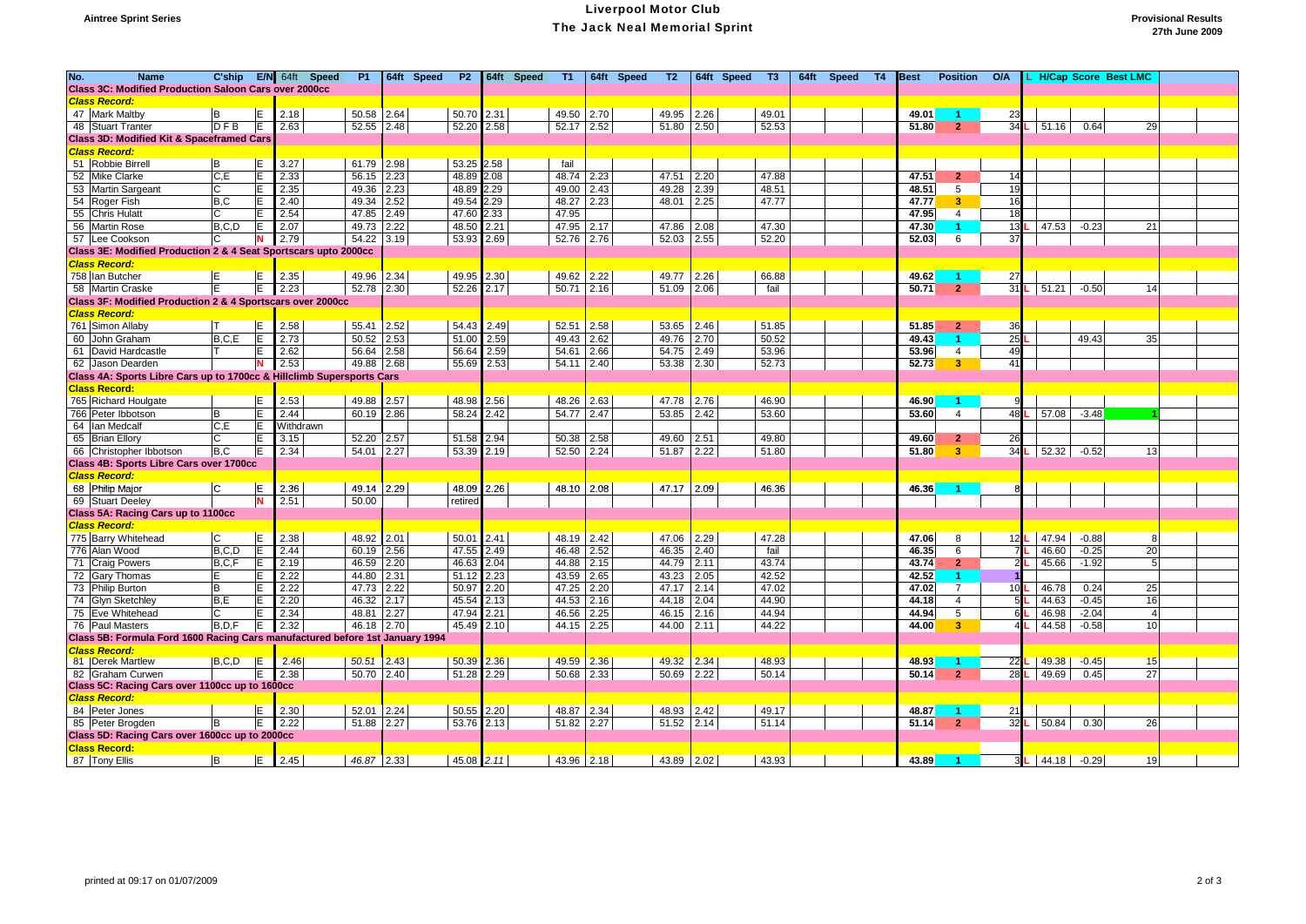## **Aintree Sprint Series** Liverpool Motor Club The Jack Neal Memorial Sprint **Provisional Results 27th June 2009**

| No. | <b>Name</b>                                                                  | C'ship   |               | E/N 64ft Speed | <b>P1</b>  |      | 64ft Speed<br>P <sub>2</sub> |            | 64ft Speed<br>T1 |      | 64ft Speed | T <sub>2</sub> |      | 64ft Speed<br>T3 | 64ft Speed | T4 | <b>Best</b> | <b>Position</b> | <b>O/A</b> |                  |         | L H/Cap Score Best LMC |  |
|-----|------------------------------------------------------------------------------|----------|---------------|----------------|------------|------|------------------------------|------------|------------------|------|------------|----------------|------|------------------|------------|----|-------------|-----------------|------------|------------------|---------|------------------------|--|
|     | Class 3C: Modified Production Saloon Cars over 2000cc                        |          |               |                |            |      |                              |            |                  |      |            |                |      |                  |            |    |             |                 |            |                  |         |                        |  |
|     | <b>Class Record:</b>                                                         |          |               |                |            |      |                              |            |                  |      |            |                |      |                  |            |    |             |                 |            |                  |         |                        |  |
|     | 47 Mark Maltby                                                               | lB.      | E.            | 2.18           | 50.58      | 2.64 | 50.70                        | 2.31       | 49.50            | 2.70 |            | 49.95          | 2.26 | 49.01            |            |    | 49.01       |                 | 23         |                  |         |                        |  |
|     | 48 Stuart Tranter                                                            | DFB      | E             | 2.63           | 52.55      | 2.48 | 52.20                        | 2.58       | 52.17            | 2.52 |            | 51.80          | 2.50 | 52.53            |            |    | 51.80       | $\overline{2}$  | 34         | 51.16            | 0.64    | 29                     |  |
|     | Class 3D: Modified Kit & Spaceframed Cars                                    |          |               |                |            |      |                              |            |                  |      |            |                |      |                  |            |    |             |                 |            |                  |         |                        |  |
|     | <b>Class Record:</b>                                                         |          |               |                |            |      |                              |            |                  |      |            |                |      |                  |            |    |             |                 |            |                  |         |                        |  |
|     | 51 Robbie Birrell                                                            | lв       | E             | 3.27           | 61.79 2.98 |      | 53.25 2.58                   |            | fail             |      |            |                |      |                  |            |    |             |                 |            |                  |         |                        |  |
|     | 52 Mike Clarke                                                               | C, E     | E             | 2.33           | 56.15      | 2.23 | 48.89                        | 2.08       | 48.74            | 2.23 |            | 47.51          | 2.20 | 47.88            |            |    | 47.51       | $\mathbf{2}$    | 14         |                  |         |                        |  |
|     | 53 Martin Sargeant                                                           | lC.      | E             | 2.35           | 49.36      | 2.23 | 48.89 2.29                   |            | 49.00            | 2.43 |            | 49.28          | 2.39 | 48.51            |            |    | 48.51       | 5               | 19         |                  |         |                        |  |
|     | 54 Roger Fish                                                                | B,C      | E             | 2.40           | 49.34      | 2.52 | 49.54                        | 2.29       | 48.27            | 2.23 |            | 48.01          | 2.25 | 47.77            |            |    | 47.77       | 3 <sup>7</sup>  | 16         |                  |         |                        |  |
|     | 55 Chris Hulatt                                                              |          |               | 2.54           | 47.85      | 2.49 | 47.60                        | 2.33       | 47.95            |      |            |                |      |                  |            |    | 47.95       | 4               | 18         |                  |         |                        |  |
|     | 56 Martin Rose                                                               | B,C,D    |               | 2.07           | 49.73      | 2.22 | 48.50                        | 2.21       | 47.95            | 2.17 |            | 47.86          | 2.08 | 47.30            |            |    | 47.30       |                 | 13         | 47.53            | $-0.23$ | 21                     |  |
|     | 57 Lee Cookson                                                               | C        | N             | 2.79           | 54.22      | 3.19 | 53.93                        | 2.69       | 52.76            | 2.76 |            | 52.03          | 2.55 | 52.20            |            |    | 52.03       | 6               | 37         |                  |         |                        |  |
|     | Class 3E: Modified Production 2 & 4 Seat Sportscars upto 2000cc              |          |               |                |            |      |                              |            |                  |      |            |                |      |                  |            |    |             |                 |            |                  |         |                        |  |
|     | <b>Class Record:</b>                                                         |          |               |                |            |      |                              |            |                  |      |            |                |      |                  |            |    |             |                 |            |                  |         |                        |  |
|     | 758 Ian Butcher                                                              |          | E             | 2.35           | 49.96      | 2.34 | 49.95                        | 2.30       | 49.62            | 2.22 |            | 49.77          | 2.26 | 66.88            |            |    | 49.62       |                 | 27         |                  |         |                        |  |
|     | 58 Martin Craske                                                             | ΙE       | Ε             | 2.23           | 52.78      | 2.30 | 52.26                        | 2.17       | 50.71            | 2.16 |            | 51.09          | 2.06 | fail             |            |    | 50.71       | $\overline{2}$  | 31         | 51.21            | $-0.50$ | 14                     |  |
|     | Class 3F: Modified Production 2 & 4 Sportscars over 2000cc                   |          |               |                |            |      |                              |            |                  |      |            |                |      |                  |            |    |             |                 |            |                  |         |                        |  |
|     | <b>Class Record:</b>                                                         |          |               |                |            |      |                              |            |                  |      |            |                |      |                  |            |    |             |                 |            |                  |         |                        |  |
|     | 761 Simon Allaby                                                             | Iт       | E             | 2.58           | 55.41 2.52 |      | 54.43                        | 2.49       | 52.51            | 2.58 |            | 53.65          | 2.46 | 51.85            |            |    | 51.85       | 2 <sup>1</sup>  | 36         |                  |         |                        |  |
|     | 60 John Graham                                                               | B, C, E  | E             | 2.73           | 50.52      | 2.53 | 51.00                        | 2.59       | 49.43            | 2.62 |            | 49.76          | 2.70 | 50.52            |            |    | 49.43       |                 | 25         |                  | 49.43   | 35                     |  |
| 61  | David Hardcastle                                                             |          | E             | 2.62           | 56.64      | 2.58 | 56.64                        | 2.59       | 54.61            | 2.66 |            | 54.75          | 2.49 | 53.96            |            |    | 53.96       | 4               | 49         |                  |         |                        |  |
|     | 62 Jason Dearden                                                             |          | N             | 2.53           | 49.88      | 2.68 | 55.69                        | 2.53       | 54.11            | 2.40 |            | 53.38          | 2.30 | 52.73            |            |    | 52.73       | 3 <sup>°</sup>  | 41         |                  |         |                        |  |
|     | Class 4A: Sports Libre Cars up to 1700cc & Hillclimb Supersports Cars        |          |               |                |            |      |                              |            |                  |      |            |                |      |                  |            |    |             |                 |            |                  |         |                        |  |
|     | <b>Class Record:</b>                                                         |          |               |                |            |      |                              |            |                  |      |            |                |      |                  |            |    |             |                 |            |                  |         |                        |  |
|     | 765 Richard Houlgate                                                         |          |               | 2.53           | 49.88      | 2.57 | 48.98                        | 2.56       | 48.26            | 2.63 |            | 47.78          | 2.76 | 46.90            |            |    | 46.90       |                 |            |                  |         |                        |  |
|     | 766 Peter Ibbotson                                                           | B        | $\frac{E}{E}$ | 2.44           | 60.19 2.86 |      | 58.24                        | 2.42       | 54.77            | 2.47 |            | 53.85          | 2.42 | 53.60            |            |    | 53.60       | 4               | 48         | 57.08            | $-3.48$ |                        |  |
| 64  | lan Medcalf                                                                  | C.E      | Ε             | Withdrawn      |            |      |                              |            |                  |      |            |                |      |                  |            |    |             |                 |            |                  |         |                        |  |
| 65  | <b>Brian Ellory</b>                                                          | C        | E             | 3.15           | 52.20      | 2.57 | 51.58                        | 2.94       | 50.38            | 2.58 |            | 49.60          | 2.51 | 49.80            |            |    | 49.60       | $\mathbf{2}$    | 26         |                  |         |                        |  |
|     | 66 Christopher Ibbotson                                                      | B,C      | ΙE            | 2.34           | 54.01      | 2.27 | 53.39                        | 2.19       | 52.50            | 2.24 |            | 51.87          | 2.22 | 51.80            |            |    | 51.80       | 3 <sup>°</sup>  | 34         | 52.32            | $-0.52$ | 13                     |  |
|     | Class 4B: Sports Libre Cars over 1700cc                                      |          |               |                |            |      |                              |            |                  |      |            |                |      |                  |            |    |             |                 |            |                  |         |                        |  |
|     | <b>Class Record:</b>                                                         |          |               |                |            |      |                              |            |                  |      |            |                |      |                  |            |    |             |                 |            |                  |         |                        |  |
|     | 68 Philip Major                                                              | Iс       | E             | 2.36           | 49.14 2.29 |      | 48.09                        | 2.26       | 48.10            | 2.08 |            | 47.17          | 2.09 | 46.36            |            |    | 46.36       |                 |            |                  |         |                        |  |
|     | 69 Stuart Deeley                                                             |          | N             | 2.51           | 50.00      |      | retired                      |            |                  |      |            |                |      |                  |            |    |             |                 |            |                  |         |                        |  |
|     | Class 5A: Racing Cars up to 1100cc                                           |          |               |                |            |      |                              |            |                  |      |            |                |      |                  |            |    |             |                 |            |                  |         |                        |  |
|     | <b>Class Record:</b>                                                         |          |               |                |            |      |                              |            |                  |      |            |                |      |                  |            |    |             |                 |            |                  |         |                        |  |
|     | 775 Barry Whitehead                                                          | <b>C</b> | E             | 2.38           | 48.92      | 2.01 | 50.01                        | 2.41       | 48.19            | 2.42 |            | 47.06          | 2.29 | 47.28            |            |    | 47.06       | 8               | 12         | 47.94            | $-0.88$ | 8                      |  |
|     | 776 Alan Wood                                                                | B, C, D  | E             | 2.44           | 60.19      | 2.56 | 47.55                        | 2.49       | 46.48            | 2.52 |            | 46.35          | 2.40 | fail             |            |    | 46.35       | 6               |            | 46.60            | $-0.25$ | 20                     |  |
|     | 71 Craig Powers                                                              | B, C, F  | Ε             | 2.19           | 46.59      | 2.20 | 46.63                        | 2.04       | 44.88            | 2.15 |            | 44.79          | 2.11 | 43.74            |            |    | 43.74       | $\overline{2}$  |            | 45.66            | $-1.92$ | 5                      |  |
|     | 72 Gary Thomas                                                               | E        | E             | 2.22           | 44.80      | 2.31 | 51.12                        | 2.23       | 43.59            | 2.65 |            | 43.23          | 2.05 | 42.52            |            |    | 42.52       | 1.              |            |                  |         |                        |  |
|     | 73 Philip Burton                                                             | lB.      | E             | 2.22           | 47.73      | 2.22 | 50.97                        | 2.20       | 47.25            | 2.20 |            | 47.17          | 2.14 | 47.02            |            |    | 47.02       | $\overline{7}$  | 10         | 46.78            | 0.24    | 25                     |  |
|     | 74 Glyn Sketchley                                                            | B,E      | E             | 2.20           | 46.32 2.17 |      | 45.54                        | 2.13       | 44.53            | 2.16 |            | 44.18          | 2.04 | 44.90            |            |    | 44.18       | $\overline{4}$  |            | 44.63            | $-0.45$ | 16                     |  |
|     | 75 Eve Whitehead                                                             | C        | E             | 2.34           | 48.81 2.27 |      | 47.94                        | 2.21       | 46.56            | 2.25 |            | 46.15          | 2.16 | 44.94            |            |    | 44.94       | 5               |            | 46.98            | $-2.04$ |                        |  |
|     | 76 Paul Masters                                                              | B.D.F    | E             | 2.32           | 46.18 2.70 |      | 45.49                        | 2.10       | 44.15            | 2.25 |            | 44.00          | 2.11 | 44.22            |            |    | 44.00       | 3 <sup>°</sup>  |            | 44.58            | $-0.58$ | 10                     |  |
|     | Class 5B: Formula Ford 1600 Racing Cars manufactured before 1st January 1994 |          |               |                |            |      |                              |            |                  |      |            |                |      |                  |            |    |             |                 |            |                  |         |                        |  |
|     | <b>Class Record:</b>                                                         |          |               |                |            |      |                              |            |                  |      |            |                |      |                  |            |    |             |                 |            |                  |         |                        |  |
|     | 81 Derek Martlew                                                             | B, C, D  | E             | 2.46           | 50.51      | 2.43 | 50.39                        | 2.36       | 49.59            | 2.36 |            | 49.32          | 2.34 | 48.93            |            |    | 48.93       |                 | 22         | 49.38            | $-0.45$ | 15                     |  |
|     | 82 Graham Curwen                                                             |          | E             | 2.38           | 50.70      | 2.40 | 51.28                        | 2.29       | 50.68            | 2.33 |            | 50.69          | 2.22 | 50.14            |            |    | 50.14       | $\overline{2}$  | 28         | 49.69            | 0.45    | 27                     |  |
|     | Class 5C: Racing Cars over 1100cc up to 1600cc                               |          |               |                |            |      |                              |            |                  |      |            |                |      |                  |            |    |             |                 |            |                  |         |                        |  |
|     | <b>Class Record:</b>                                                         |          |               |                |            |      |                              |            |                  |      |            |                |      |                  |            |    |             |                 |            |                  |         |                        |  |
|     | 84 Peter Jones                                                               |          | E             | 2.30           | 52.01 2.24 |      | 50.55                        | 2.20       | 48.87            | 2.34 |            | 48.93          | 2.42 | 49.17            |            |    | 48.87       |                 | 21         |                  |         |                        |  |
|     | 85 Peter Brogden                                                             | lв       | E             | 2.22           | 51.88      | 2.27 | 53.76                        | 2.13       | 51.82            | 2.27 |            | 51.52          | 2.14 | 51.14            |            |    | 51.14       | $\overline{2}$  | 32         | 50.84            | 0.30    | 26                     |  |
|     | Class 5D: Racing Cars over 1600cc up to 2000cc                               |          |               |                |            |      |                              |            |                  |      |            |                |      |                  |            |    |             |                 |            |                  |         |                        |  |
|     | <b>Class Record:</b>                                                         |          |               |                |            |      |                              |            |                  |      |            |                |      |                  |            |    |             |                 |            |                  |         |                        |  |
|     | 87 Tony Ellis                                                                | <b>B</b> |               | $E$ 2.45       | 46.87 2.33 |      |                              | 45.08 2.11 | 43.96 2.18       |      |            | 43.89 2.02     |      | 43.93            |            |    | 43.89       |                 |            | $3L$ 44.18 -0.29 |         | 19                     |  |